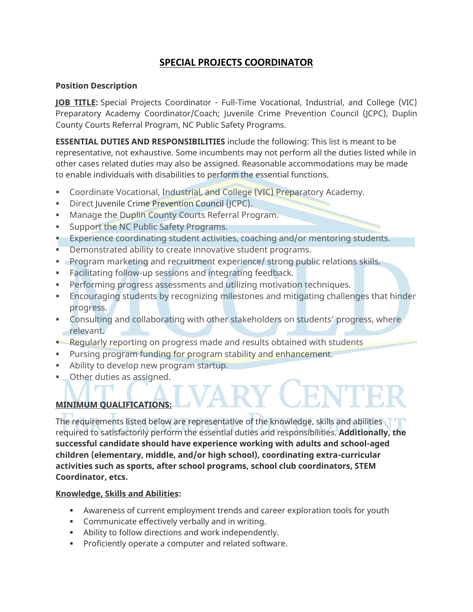# **SPECIAL PROJECTS COORDINATOR**

### **Position Description**

**JOB TITLE:** Special Projects Coordinator - Full-Time Vocational, Industrial, and College (VIC) Preparatory Academy Coordinator/Coach; Juvenile Crime Prevention Council (JCPC), Duplin County Courts Referral Program, NC Public Safety Programs.

**ESSENTIAL DUTIES AND RESPONSIBILITIES** include the following: This list is meant to be representative, not exhaustive. Some incumbents may not perform all the duties listed while in other cases related duties may also be assigned. Reasonable accommodations may be made to enable individuals with disabilities to perform the essential functions.

- Coordinate Vocational, Industrial, and College (VIC) Preparatory Academy.
- **E** Direct Juvenile Crime Prevention Council (JCPC).
- **■** Manage the Duplin County Courts Referral Program.
- **EXECUTE:** Support the NC Public Safety Programs.
- **Experience coordinating student activities, coaching and/or mentoring students.**
- Demonstrated ability to create innovative student programs.
- Program marketing and recruitment experience/ strong public relations skills.
- **Eacilitating follow-up sessions and integrating feedback.**
- **Performing progress assessments and utilizing motivation techniques.**
- **Encouraging students by recognizing milestones and mitigating challenges that hinder** progress.
- Consulting and collaborating with other stakeholders on students' progress, where relevant.
- **E** Regularly reporting on progress made and results obtained with students
- **EXECT** Pursing program funding for program stability and enhancement.
- Ability to develop new program startup.
- **Other duties as assigned.**

## **MINIMUM QUALIFICATIONS:**

The requirements listed below are representative of the knowledge, skills and abilities required to satisfactorily perform the essential duties and responsibilities. **Additionally, the successful candidate should have experience working with adults and school-aged children (elementary, middle, and/or high school), coordinating extra-curricular activities such as sports, after school programs, school club coordinators, STEM Coordinator, etcs.**

## **Knowledge, Skills and Abilities:**

- **EXECT** Awareness of current employment trends and career exploration tools for youth
- **Communicate effectively verbally and in writing.**
- **EXECT** Ability to follow directions and work independently.
- **•** Proficiently operate a computer and related software.